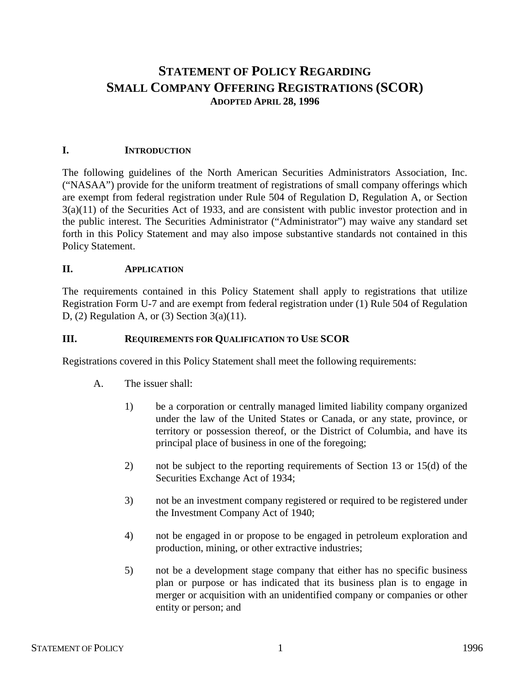# **STATEMENT OF POLICY REGARDING SMALL COMPANY OFFERING REGISTRATIONS (SCOR) ADOPTED APRIL 28, 1996**

## **I. INTRODUCTION**

The following guidelines of the North American Securities Administrators Association, Inc. ("NASAA") provide for the uniform treatment of registrations of small company offerings which are exempt from federal registration under Rule 504 of Regulation D, Regulation A, or Section 3(a)(11) of the Securities Act of 1933, and are consistent with public investor protection and in the public interest. The Securities Administrator ("Administrator") may waive any standard set forth in this Policy Statement and may also impose substantive standards not contained in this Policy Statement.

#### **II. APPLICATION**

The requirements contained in this Policy Statement shall apply to registrations that utilize Registration Form U-7 and are exempt from federal registration under (1) Rule 504 of Regulation D, (2) Regulation A, or (3) Section  $3(a)(11)$ .

### **III. REQUIREMENTS FOR QUALIFICATION TO USE SCOR**

Registrations covered in this Policy Statement shall meet the following requirements:

- A. The issuer shall:
	- 1) be a corporation or centrally managed limited liability company organized under the law of the United States or Canada, or any state, province, or territory or possession thereof, or the District of Columbia, and have its principal place of business in one of the foregoing;
	- 2) not be subject to the reporting requirements of Section 13 or 15(d) of the Securities Exchange Act of 1934;
	- 3) not be an investment company registered or required to be registered under the Investment Company Act of 1940;
	- 4) not be engaged in or propose to be engaged in petroleum exploration and production, mining, or other extractive industries;
	- 5) not be a development stage company that either has no specific business plan or purpose or has indicated that its business plan is to engage in merger or acquisition with an unidentified company or companies or other entity or person; and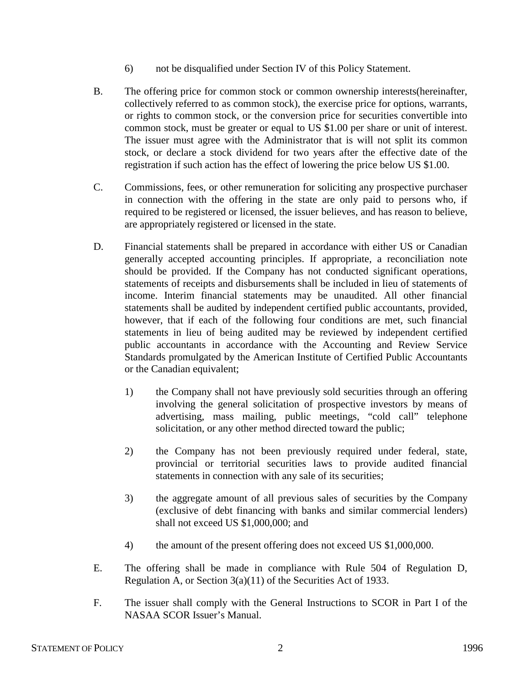- 6) not be disqualified under Section IV of this Policy Statement.
- B. The offering price for common stock or common ownership interests(hereinafter, collectively referred to as common stock), the exercise price for options, warrants, or rights to common stock, or the conversion price for securities convertible into common stock, must be greater or equal to US \$1.00 per share or unit of interest. The issuer must agree with the Administrator that is will not split its common stock, or declare a stock dividend for two years after the effective date of the registration if such action has the effect of lowering the price below US \$1.00.
- C. Commissions, fees, or other remuneration for soliciting any prospective purchaser in connection with the offering in the state are only paid to persons who, if required to be registered or licensed, the issuer believes, and has reason to believe, are appropriately registered or licensed in the state.
- D. Financial statements shall be prepared in accordance with either US or Canadian generally accepted accounting principles. If appropriate, a reconciliation note should be provided. If the Company has not conducted significant operations, statements of receipts and disbursements shall be included in lieu of statements of income. Interim financial statements may be unaudited. All other financial statements shall be audited by independent certified public accountants, provided, however, that if each of the following four conditions are met, such financial statements in lieu of being audited may be reviewed by independent certified public accountants in accordance with the Accounting and Review Service Standards promulgated by the American Institute of Certified Public Accountants or the Canadian equivalent;
	- 1) the Company shall not have previously sold securities through an offering involving the general solicitation of prospective investors by means of advertising, mass mailing, public meetings, "cold call" telephone solicitation, or any other method directed toward the public;
	- 2) the Company has not been previously required under federal, state, provincial or territorial securities laws to provide audited financial statements in connection with any sale of its securities;
	- 3) the aggregate amount of all previous sales of securities by the Company (exclusive of debt financing with banks and similar commercial lenders) shall not exceed US \$1,000,000; and
	- 4) the amount of the present offering does not exceed US \$1,000,000.
- E. The offering shall be made in compliance with Rule 504 of Regulation D, Regulation A, or Section 3(a)(11) of the Securities Act of 1933.
- F. The issuer shall comply with the General Instructions to SCOR in Part I of the NASAA SCOR Issuer's Manual.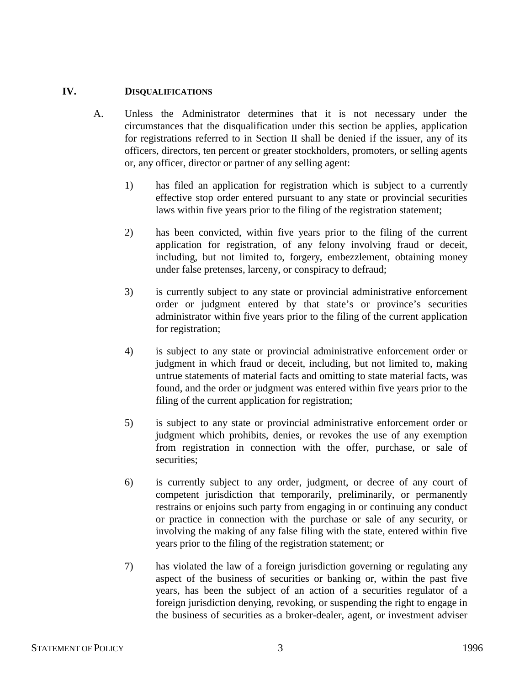## **IV. DISQUALIFICATIONS**

- A. Unless the Administrator determines that it is not necessary under the circumstances that the disqualification under this section be applies, application for registrations referred to in Section II shall be denied if the issuer, any of its officers, directors, ten percent or greater stockholders, promoters, or selling agents or, any officer, director or partner of any selling agent:
	- 1) has filed an application for registration which is subject to a currently effective stop order entered pursuant to any state or provincial securities laws within five years prior to the filing of the registration statement;
	- 2) has been convicted, within five years prior to the filing of the current application for registration, of any felony involving fraud or deceit, including, but not limited to, forgery, embezzlement, obtaining money under false pretenses, larceny, or conspiracy to defraud;
	- 3) is currently subject to any state or provincial administrative enforcement order or judgment entered by that state's or province's securities administrator within five years prior to the filing of the current application for registration;
	- 4) is subject to any state or provincial administrative enforcement order or judgment in which fraud or deceit, including, but not limited to, making untrue statements of material facts and omitting to state material facts, was found, and the order or judgment was entered within five years prior to the filing of the current application for registration;
	- 5) is subject to any state or provincial administrative enforcement order or judgment which prohibits, denies, or revokes the use of any exemption from registration in connection with the offer, purchase, or sale of securities;
	- 6) is currently subject to any order, judgment, or decree of any court of competent jurisdiction that temporarily, preliminarily, or permanently restrains or enjoins such party from engaging in or continuing any conduct or practice in connection with the purchase or sale of any security, or involving the making of any false filing with the state, entered within five years prior to the filing of the registration statement; or
	- 7) has violated the law of a foreign jurisdiction governing or regulating any aspect of the business of securities or banking or, within the past five years, has been the subject of an action of a securities regulator of a foreign jurisdiction denying, revoking, or suspending the right to engage in the business of securities as a broker-dealer, agent, or investment adviser